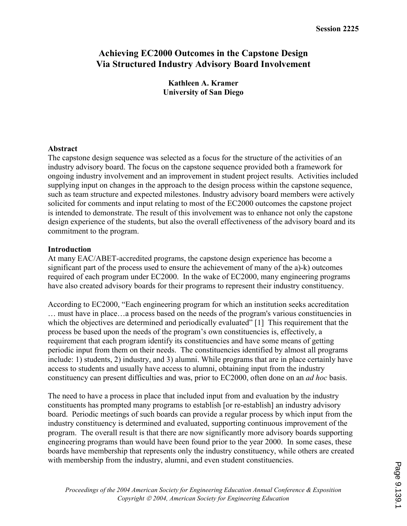# Achieving EC2000 Outcomes in the Capstone Design Via Structured Industry Advisory Board Involvement

Kathleen A. Kramer University of San Diego

#### Abstract

The capstone design sequence was selected as a focus for the structure of the activities of an industry advisory board. The focus on the capstone sequence provided both a framework for ongoing industry involvement and an improvement in student project results. Activities included supplying input on changes in the approach to the design process within the capstone sequence, such as team structure and expected milestones. Industry advisory board members were actively solicited for comments and input relating to most of the EC2000 outcomes the capstone project is intended to demonstrate. The result of this involvement was to enhance not only the capstone design experience of the students, but also the overall effectiveness of the advisory board and its commitment to the program.

#### Introduction

At many EAC/ABET-accredited programs, the capstone design experience has become a significant part of the process used to ensure the achievement of many of the a)-k) outcomes required of each program under EC2000. In the wake of EC2000, many engineering programs have also created advisory boards for their programs to represent their industry constituency.

According to EC2000, "Each engineering program for which an institution seeks accreditation … must have in place…a process based on the needs of the program's various constituencies in which the objectives are determined and periodically evaluated" [1] This requirement that the process be based upon the needs of the program's own constituencies is, effectively, a requirement that each program identify its constituencies and have some means of getting periodic input from them on their needs. The constituencies identified by almost all programs include: 1) students, 2) industry, and 3) alumni. While programs that are in place certainly have access to students and usually have access to alumni, obtaining input from the industry constituency can present difficulties and was, prior to EC2000, often done on an ad hoc basis.

The need to have a process in place that included input from and evaluation by the industry constituents has prompted many programs to establish [or re-establish] an industry advisory board. Periodic meetings of such boards can provide a regular process by which input from the industry constituency is determined and evaluated, supporting continuous improvement of the program. The overall result is that there are now significantly more advisory boards supporting engineering programs than would have been found prior to the year 2000. In some cases, these boards have membership that represents only the industry constituency, while others are created with membership from the industry, alumni, and even student constituencies.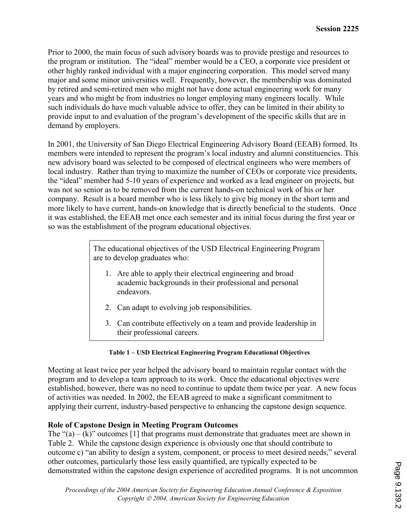Prior to 2000, the main focus of such advisory boards was to provide prestige and resources to the program or institution. The "ideal" member would be a CEO, a corporate vice president or other highly ranked individual with a major engineering corporation. This model served many major and some minor universities well. Frequently, however, the membership was dominated by retired and semi-retired men who might not have done actual engineering work for many years and who might be from industries no longer employing many engineers locally. While such individuals do have much valuable advice to offer, they can be limited in their ability to provide input to and evaluation of the program's development of the specific skills that are in demand by employers.

In 2001, the University of San Diego Electrical Engineering Advisory Board (EEAB) formed. Its members were intended to represent the program's local industry and alumni constituencies. This new advisory board was selected to be composed of electrical engineers who were members of local industry. Rather than trying to maximize the number of CEOs or corporate vice presidents, the "ideal" member had 5-10 years of experience and worked as a lead engineer on projects, but was not so senior as to be removed from the current hands-on technical work of his or her company. Result is a board member who is less likely to give big money in the short term and more likely to have current, hands-on knowledge that is directly beneficial to the students. Once it was established, the EEAB met once each semester and its initial focus during the first year or so was the establishment of the program educational objectives.

> The educational objectives of the USD Electrical Engineering Program are to develop graduates who:

- 1. Are able to apply their electrical engineering and broad academic backgrounds in their professional and personal endeavors.
- 2. Can adapt to evolving job responsibilities.
- 3. Can contribute effectively on a team and provide leadership in their professional careers.

## Table 1 – USD Electrical Engineering Program Educational Objectives

Meeting at least twice per year helped the advisory board to maintain regular contact with the program and to develop a team approach to its work. Once the educational objectives were established, however, there was no need to continue to update them twice per year. A new focus of activities was needed. In 2002, the EEAB agreed to make a significant commitment to applying their current, industry-based perspective to enhancing the capstone design sequence.

## Role of Capstone Design in Meeting Program Outcomes

The " $(a) - (k)$ " outcomes [1] that programs must demonstrate that graduates meet are shown in Table 2. While the capstone design experience is obviously one that should contribute to outcome c) "an ability to design a system, component, or process to meet desired needs," several other outcomes, particularly those less easily quantified, are typically expected to be demonstrated within the capstone design experience of accredited programs. It is not uncommon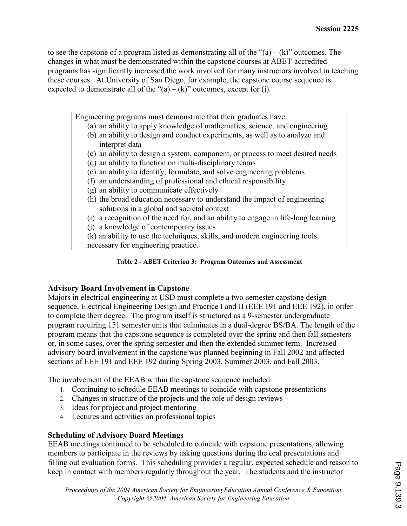to see the capstone of a program listed as demonstrating all of the " $(a) - (k)$ " outcomes. The changes in what must be demonstrated within the capstone courses at ABET-accredited programs has significantly increased the work involved for many instructors involved in teaching these courses. At University of San Diego, for example, the capstone course sequence is expected to demonstrate all of the " $(a) - (k)$ " outcomes, except for (j).

Engineering programs must demonstrate that their graduates have:

- (a) an ability to apply knowledge of mathematics, science, and engineering
- (b) an ability to design and conduct experiments, as well as to analyze and interpret data
- (c) an ability to design a system, component, or process to meet desired needs
- (d) an ability to function on multi-disciplinary teams
- (e) an ability to identify, formulate, and solve engineering problems
- (f) an understanding of professional and ethical responsibility
- (g) an ability to communicate effectively
- (h) the broad education necessary to understand the impact of engineering solutions in a global and societal context
- (i) a recognition of the need for, and an ability to engage in life-long learning
- (j) a knowledge of contemporary issues

(k) an ability to use the techniques, skills, and modern engineering tools necessary for engineering practice.

Table 2 - ABET Criterion 3: Program Outcomes and Assessment

## Advisory Board Involvement in Capstone

Majors in electrical engineering at USD must complete a two-semester capstone design sequence, Electrical Engineering Design and Practice I and II (EEE 191 and EEE 192), in order to complete their degree. The program itself is structured as a 9-semester undergraduate program requiring 151 semester units that culminates in a dual-degree BS/BA. The length of the program means that the capstone sequence is completed over the spring and then fall semesters or, in some cases, over the spring semester and then the extended summer term. Increased advisory board involvement in the capstone was planned beginning in Fall 2002 and affected sections of EEE 191 and EEE 192 during Spring 2003, Summer 2003, and Fall 2003.

The involvement of the EEAB within the capstone sequence included:

- 1. Continuing to schedule EEAB meetings to coincide with capstone presentations
- 2. Changes in structure of the projects and the role of design reviews
- 3. Ideas for project and project mentoring
- 4. Lectures and activities on professional topics

## Scheduling of Advisory Board Meetings

EEAB meetings continued to be scheduled to coincide with capstone presentations, allowing members to participate in the reviews by asking questions during the oral presentations and filling out evaluation forms. This scheduling provides a regular, expected schedule and reason to keep in contact with members regularly throughout the year. The students and the instructor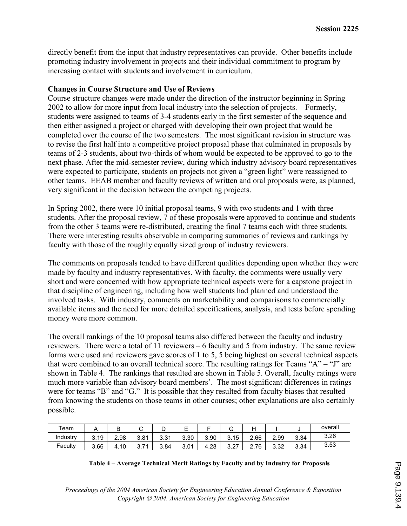directly benefit from the input that industry representatives can provide. Other benefits include promoting industry involvement in projects and their individual commitment to program by increasing contact with students and involvement in curriculum.

#### Changes in Course Structure and Use of Reviews

Course structure changes were made under the direction of the instructor beginning in Spring 2002 to allow for more input from local industry into the selection of projects. Formerly, students were assigned to teams of 3-4 students early in the first semester of the sequence and then either assigned a project or charged with developing their own project that would be completed over the course of the two semesters. The most significant revision in structure was to revise the first half into a competitive project proposal phase that culminated in proposals by teams of 2-3 students, about two-thirds of whom would be expected to be approved to go to the next phase. After the mid-semester review, during which industry advisory board representatives were expected to participate, students on projects not given a "green light" were reassigned to other teams. EEAB member and faculty reviews of written and oral proposals were, as planned, very significant in the decision between the competing projects.

In Spring 2002, there were 10 initial proposal teams, 9 with two students and 1 with three students. After the proposal review, 7 of these proposals were approved to continue and students from the other 3 teams were re-distributed, creating the final 7 teams each with three students. There were interesting results observable in comparing summaries of reviews and rankings by faculty with those of the roughly equally sized group of industry reviewers.

The comments on proposals tended to have different qualities depending upon whether they were made by faculty and industry representatives. With faculty, the comments were usually very short and were concerned with how appropriate technical aspects were for a capstone project in that discipline of engineering, including how well students had planned and understood the involved tasks. With industry, comments on marketability and comparisons to commercially available items and the need for more detailed specifications, analysis, and tests before spending money were more common.

The overall rankings of the 10 proposal teams also differed between the faculty and industry reviewers. There were a total of 11 reviewers – 6 faculty and 5 from industry. The same review forms were used and reviewers gave scores of 1 to 5, 5 being highest on several technical aspects that were combined to an overall technical score. The resulting ratings for Teams "A" – "J" are shown in Table 4. The rankings that resulted are shown in Table 5. Overall, faculty ratings were much more variable than advisory board members'. The most significant differences in ratings were for teams "B" and "G." It is possible that they resulted from faculty biases that resulted from knowing the students on those teams in other courses; other explanations are also certainly possible.

| $\tau$ eam | . .  | ◡                      | ີ         | ┕           | –    |      | ັ                     |                           |              |      | overall |
|------------|------|------------------------|-----------|-------------|------|------|-----------------------|---------------------------|--------------|------|---------|
| Industry   | 3.19 | 2.98                   | 3.81      | 2.21<br>ບ.ບ | 3.30 | 3.90 | 3.15                  | 2.66                      | 2.99         | 3.34 | 3.26    |
| Faculty    | 3.66 | $\overline{A}$<br>4.10 | 74<br>◡.≀ | 3.84        | 3.01 | 4.28 | <u>ດ ດສ</u><br>، ے. ت | $\sim$<br>76.<br><u>.</u> | ר מ<br>ےت. ت | 3.34 | 3.53    |

| Table 4 – Average Technical Merit Ratings by Faculty and by Industry for Proposals |  |
|------------------------------------------------------------------------------------|--|
|------------------------------------------------------------------------------------|--|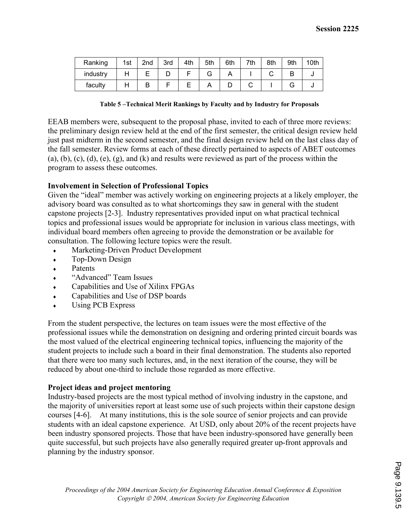| Ranking  | 1st | 2 <sub>nd</sub> | 3rd | 4th | 5th | 6th | 7th | 8th | 9th | 10th |
|----------|-----|-----------------|-----|-----|-----|-----|-----|-----|-----|------|
| industry |     |                 | ◡   |     |     |     |     |     |     |      |
| faculty  |     |                 |     |     |     |     |     |     |     |      |

| Table 5-Technical Merit Rankings by Faculty and by Industry for Proposals |  |  |
|---------------------------------------------------------------------------|--|--|
|                                                                           |  |  |

EEAB members were, subsequent to the proposal phase, invited to each of three more reviews: the preliminary design review held at the end of the first semester, the critical design review held just past midterm in the second semester, and the final design review held on the last class day of the fall semester. Review forms at each of these directly pertained to aspects of ABET outcomes (a), (b), (c), (d), (e), (g), and (k) and results were reviewed as part of the process within the program to assess these outcomes.

#### Involvement in Selection of Professional Topics

Given the "ideal" member was actively working on engineering projects at a likely employer, the advisory board was consulted as to what shortcomings they saw in general with the student capstone projects [2-3]. Industry representatives provided input on what practical technical topics and professional issues would be appropriate for inclusion in various class meetings, with individual board members often agreeing to provide the demonstration or be available for consultation. The following lecture topics were the result.

- Marketing-Driven Product Development
- Top-Down Design
- ♦ Patents
- ♦ "Advanced" Team Issues
- ♦ Capabilities and Use of Xilinx FPGAs
- ♦ Capabilities and Use of DSP boards
- ♦ Using PCB Express

From the student perspective, the lectures on team issues were the most effective of the professional issues while the demonstration on designing and ordering printed circuit boards was the most valued of the electrical engineering technical topics, influencing the majority of the student projects to include such a board in their final demonstration. The students also reported that there were too many such lectures, and, in the next iteration of the course, they will be reduced by about one-third to include those regarded as more effective.

#### Project ideas and project mentoring

Industry-based projects are the most typical method of involving industry in the capstone, and the majority of universities report at least some use of such projects within their capstone design courses [4-6]. At many institutions, this is the sole source of senior projects and can provide students with an ideal capstone experience. At USD, only about 20% of the recent projects have been industry sponsored projects. Those that have been industry-sponsored have generally been quite successful, but such projects have also generally required greater up-front approvals and planning by the industry sponsor.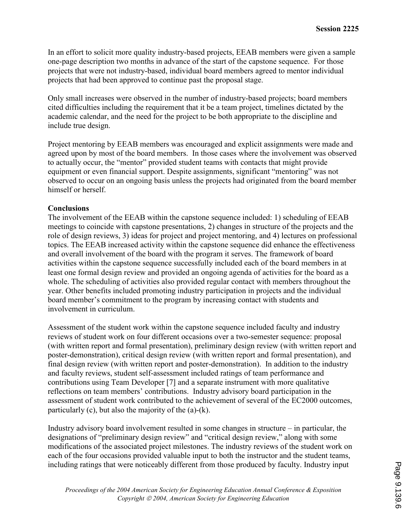In an effort to solicit more quality industry-based projects, EEAB members were given a sample one-page description two months in advance of the start of the capstone sequence. For those projects that were not industry-based, individual board members agreed to mentor individual projects that had been approved to continue past the proposal stage.

Only small increases were observed in the number of industry-based projects; board members cited difficulties including the requirement that it be a team project, timelines dictated by the academic calendar, and the need for the project to be both appropriate to the discipline and include true design.

Project mentoring by EEAB members was encouraged and explicit assignments were made and agreed upon by most of the board members. In those cases where the involvement was observed to actually occur, the "mentor" provided student teams with contacts that might provide equipment or even financial support. Despite assignments, significant "mentoring" was not observed to occur on an ongoing basis unless the projects had originated from the board member himself or herself.

## **Conclusions**

The involvement of the EEAB within the capstone sequence included: 1) scheduling of EEAB meetings to coincide with capstone presentations, 2) changes in structure of the projects and the role of design reviews, 3) ideas for project and project mentoring, and 4) lectures on professional topics. The EEAB increased activity within the capstone sequence did enhance the effectiveness and overall involvement of the board with the program it serves. The framework of board activities within the capstone sequence successfully included each of the board members in at least one formal design review and provided an ongoing agenda of activities for the board as a whole. The scheduling of activities also provided regular contact with members throughout the year. Other benefits included promoting industry participation in projects and the individual board member's commitment to the program by increasing contact with students and involvement in curriculum.

Assessment of the student work within the capstone sequence included faculty and industry reviews of student work on four different occasions over a two-semester sequence: proposal (with written report and formal presentation), preliminary design review (with written report and poster-demonstration), critical design review (with written report and formal presentation), and final design review (with written report and poster-demonstration). In addition to the industry and faculty reviews, student self-assessment included ratings of team performance and contributions using Team Developer [7] and a separate instrument with more qualitative reflections on team members' contributions. Industry advisory board participation in the assessment of student work contributed to the achievement of several of the EC2000 outcomes, particularly  $(c)$ , but also the majority of the  $(a)-(k)$ .

Industry advisory board involvement resulted in some changes in structure – in particular, the designations of "preliminary design review" and "critical design review," along with some modifications of the associated project milestones. The industry reviews of the student work on each of the four occasions provided valuable input to both the instructor and the student teams, including ratings that were noticeably different from those produced by faculty. Industry input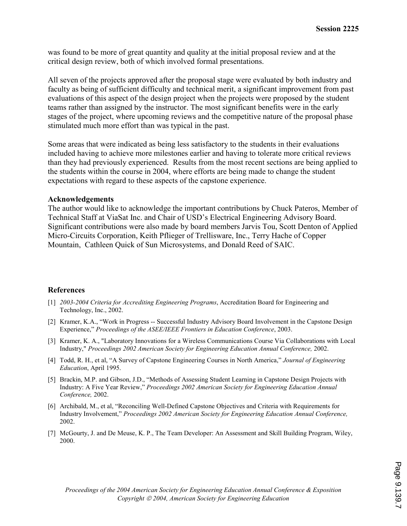was found to be more of great quantity and quality at the initial proposal review and at the critical design review, both of which involved formal presentations.

All seven of the projects approved after the proposal stage were evaluated by both industry and faculty as being of sufficient difficulty and technical merit, a significant improvement from past evaluations of this aspect of the design project when the projects were proposed by the student teams rather than assigned by the instructor. The most significant benefits were in the early stages of the project, where upcoming reviews and the competitive nature of the proposal phase stimulated much more effort than was typical in the past.

Some areas that were indicated as being less satisfactory to the students in their evaluations included having to achieve more milestones earlier and having to tolerate more critical reviews than they had previously experienced. Results from the most recent sections are being applied to the students within the course in 2004, where efforts are being made to change the student expectations with regard to these aspects of the capstone experience.

#### Acknowledgements

The author would like to acknowledge the important contributions by Chuck Pateros, Member of Technical Staff at ViaSat Inc. and Chair of USD's Electrical Engineering Advisory Board. Significant contributions were also made by board members Jarvis Tou, Scott Denton of Applied Micro-Circuits Corporation, Keith Pflieger of Trellisware, Inc., Terry Hache of Copper Mountain, Cathleen Quick of Sun Microsystems, and Donald Reed of SAIC.

#### References

- [1] 2003-2004 Criteria for Accrediting Engineering Programs, Accreditation Board for Engineering and Technology, Inc., 2002.
- [2] Kramer, K.A., "Work in Progress -- Successful Industry Advisory Board Involvement in the Capstone Design Experience," Proceedings of the ASEE/IEEE Frontiers in Education Conference, 2003.
- [3] Kramer, K. A., "Laboratory Innovations for a Wireless Communications Course Via Collaborations with Local Industry," Proceedings 2002 American Society for Engineering Education Annual Conference, 2002.
- [4] Todd, R. H., et al, "A Survey of Capstone Engineering Courses in North America," Journal of Engineering Education, April 1995.
- [5] Brackin, M.P. and Gibson, J.D., "Methods of Assessing Student Learning in Capstone Design Projects with Industry: A Five Year Review," Proceedings 2002 American Society for Engineering Education Annual Conference, 2002.
- [6] Archibald, M., et al, "Reconciling Well-Defined Capstone Objectives and Criteria with Requirements for Industry Involvement," Proceedings 2002 American Society for Engineering Education Annual Conference, 2002.
- [7] McGourty, J. and De Meuse, K. P., The Team Developer: An Assessment and Skill Building Program, Wiley, 2000.